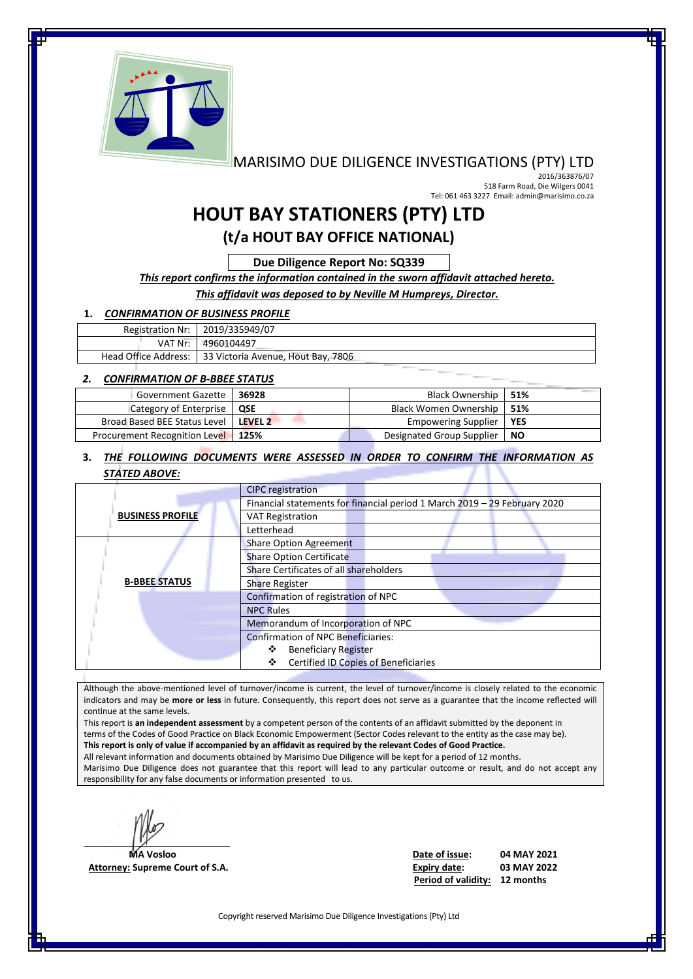

## MARISIMO DUE DILIGENCE INVESTIGATIONS (PTY) LTD

 2016/363876/07 518 Farm Road, Die Wilgers 0041 Tel: 061 463 3227 Email: admin@marisimo.co.za

# **HOUT BAY STATIONERS (PTY) LTD**

**(t/a HOUT BAY OFFICE NATIONAL)**

**Due Diligence Report No: SQ339**

#### *This report confirms the information contained in the sworn affidavit attached hereto.*

*This affidavit was deposed to by Neville M Humpreys, Director.*

#### **1.** *CONFIRMATION OF BUSINESS PROFILE*

| Registration Nr:   2019/335949/07                         |
|-----------------------------------------------------------|
| VAT Nr:   4960104497                                      |
| Head Office Address:   33 Victoria Avenue, Hout Bay, 7806 |

#### *2. CONFIRMATION OF B-BBEE STATUS*

| Government Gazette                        | 36928 | Black Ownership   51%       |       |
|-------------------------------------------|-------|-----------------------------|-------|
| Category of Enterprise   QSE              |       | Black Women Ownership   51% |       |
| Broad Based BEE Status Level   LEVEL 2    |       | <b>Empowering Supplier</b>  | I YES |
| <b>Procurement Recognition Level 125%</b> |       | Designated Group Supplier   | l NO  |

### **3.** *THE FOLLOWING DOCUMENTS WERE ASSESSED IN ORDER TO CONFIRM THE INFORMATION AS STATED ABOVE:*

|                         | <b>CIPC</b> registration                                                  |
|-------------------------|---------------------------------------------------------------------------|
|                         | Financial statements for financial period 1 March 2019 - 29 February 2020 |
| <b>BUSINESS PROFILE</b> | <b>VAT Registration</b>                                                   |
|                         | Letterhead                                                                |
|                         | <b>Share Option Agreement</b>                                             |
|                         | <b>Share Option Certificate</b>                                           |
|                         | Share Certificates of all shareholders                                    |
| <b>B-BBEE STATUS</b>    | <b>Share Register</b>                                                     |
|                         | Confirmation of registration of NPC                                       |
|                         | <b>NPC Rules</b>                                                          |
|                         | Memorandum of Incorporation of NPC                                        |
|                         | <b>Confirmation of NPC Beneficiaries:</b>                                 |
|                         | ❖<br><b>Beneficiary Register</b>                                          |
|                         | <b>Certified ID Copies of Beneficiaries</b><br>❖                          |

Although the above-mentioned level of turnover/income is current, the level of turnover/income is closely related to the economic indicators and may be **more or less** in future. Consequently, this report does not serve as a guarantee that the income reflected will continue at the same levels.

This report is **an independent assessment** by a competent person of the contents of an affidavit submitted by the deponent in terms of the Codes of Good Practice on Black Economic Empowerment (Sector Codes relevant to the entity as the case may be). **This report is only of value if accompanied by an affidavit as required by the relevant Codes of Good Practice.** All relevant information and documents obtained by Marisimo Due Diligence will be kept for a period of 12 months.

Marisimo Due Diligence does not guarantee that this report will lead to any particular outcome or result, and do not accept any responsibility for any false documents or information presented to us.

 $\mathbb{Z}$ 

 **MA Vosloo Date of issue: 04 MAY 2021 Attorney: Supreme Court of S.A. Expiry date: 03 MAY 2022 Period of validity: 12 months**

Copyright reserved Marisimo Due Diligence Investigations (Pty) Ltd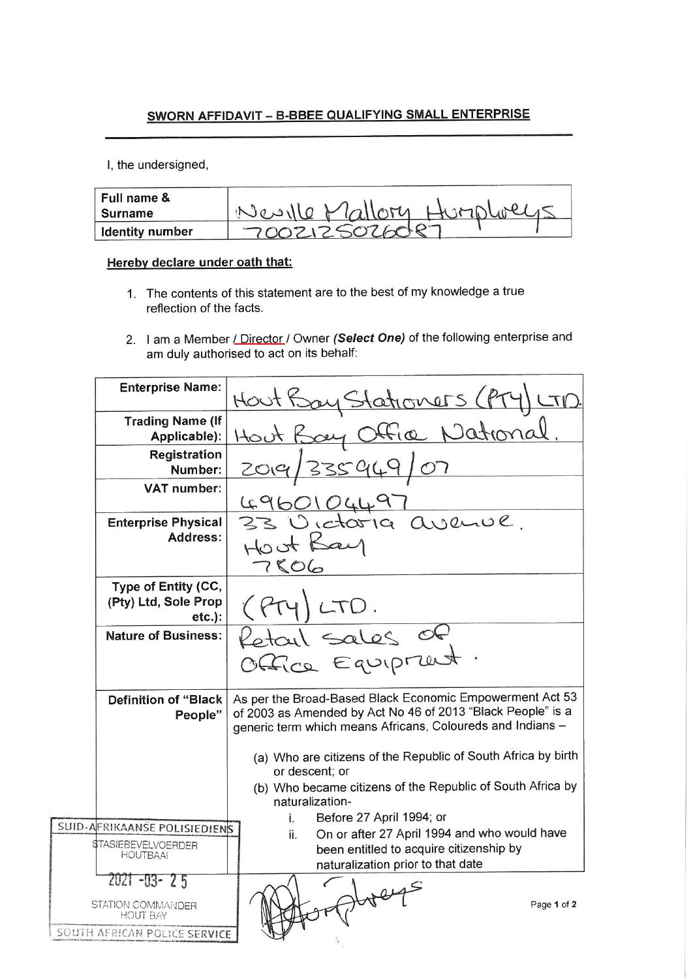## SWORN AFFIDAVIT - B-BBEE QUALIFYING SMALL ENTERPRISE

I, the undersigned,

| Full name &<br>Surname | le Mallory |
|------------------------|------------|
| <b>Identity number</b> |            |

## Hereby declare under oath that:

- 1. The contents of this statement are to the best of my knowledge a true reflection of the facts.
- 2. I am a Member / Director / Owner (Select One) of the following enterprise and am duly authorised to act on its behalf:

| <b>Enterprise Name:</b>                                                               | Hout Bay Stationers (Pry<br>CTD                                                                                                                                                       |
|---------------------------------------------------------------------------------------|---------------------------------------------------------------------------------------------------------------------------------------------------------------------------------------|
| <b>Trading Name (If</b><br>Applicable):                                               | Hout Bay Office National                                                                                                                                                              |
| Registration<br>Number:                                                               | 335949/07                                                                                                                                                                             |
| <b>VAT number:</b>                                                                    | 4960104497<br>33 Victoria avenue.                                                                                                                                                     |
| <b>Enterprise Physical</b><br><b>Address:</b>                                         | Hoot Bay<br>7806                                                                                                                                                                      |
| Type of Entity (CC,<br>(Pty) Ltd, Sole Prop<br>$etc.$ ):                              | LTD.                                                                                                                                                                                  |
| <b>Nature of Business:</b>                                                            | Retail sales of<br>Office Equipment.                                                                                                                                                  |
| <b>Definition of "Black</b><br>People"                                                | As per the Broad-Based Black Economic Empowerment Act 53<br>of 2003 as Amended by Act No 46 of 2013 "Black People" is a<br>generic term which means Africans, Coloureds and Indians - |
|                                                                                       | (a) Who are citizens of the Republic of South Africa by birth<br>or descent; or                                                                                                       |
|                                                                                       | (b) Who became citizens of the Republic of South Africa by<br>naturalization-                                                                                                         |
| SUID-AFRIKAANSE POLISIEDIENS                                                          | Before 27 April 1994; or<br>Ì.                                                                                                                                                        |
| \$TASIEBEVELVOERDER<br><b>HOUTBAAI</b>                                                | On or after 27 April 1994 and who would have<br>ii.<br>been entitled to acquire citizenship by<br>naturalization prior to that date                                                   |
| ZUZ1 -03- 2 5<br>STATION COMMANDER<br><b>HOUT BAY</b><br>SOUTH AFRICAN POLICE SERVICE | Page 1 of 2                                                                                                                                                                           |
|                                                                                       |                                                                                                                                                                                       |